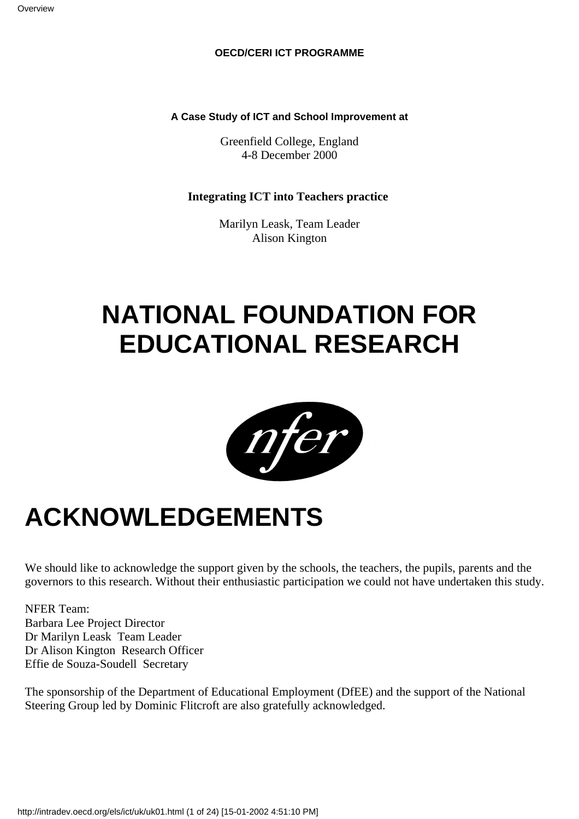#### **OECD/CERI ICT PROGRAMME**

#### **A Case Study of ICT and School Improvement at**

Greenfield College, England 4-8 December 2000

#### **Integrating ICT into Teachers practice**

Marilyn Leask, Team Leader Alison Kington

### **NATIONAL FOUNDATION FOR EDUCATIONAL RESEARCH**



### **ACKNOWLEDGEMENTS**

We should like to acknowledge the support given by the schools, the teachers, the pupils, parents and the governors to this research. Without their enthusiastic participation we could not have undertaken this study.

NFER Team: Barbara Lee Project Director Dr Marilyn Leask Team Leader Dr Alison Kington Research Officer Effie de Souza-Soudell Secretary

The sponsorship of the Department of Educational Employment (DfEE) and the support of the National Steering Group led by Dominic Flitcroft are also gratefully acknowledged.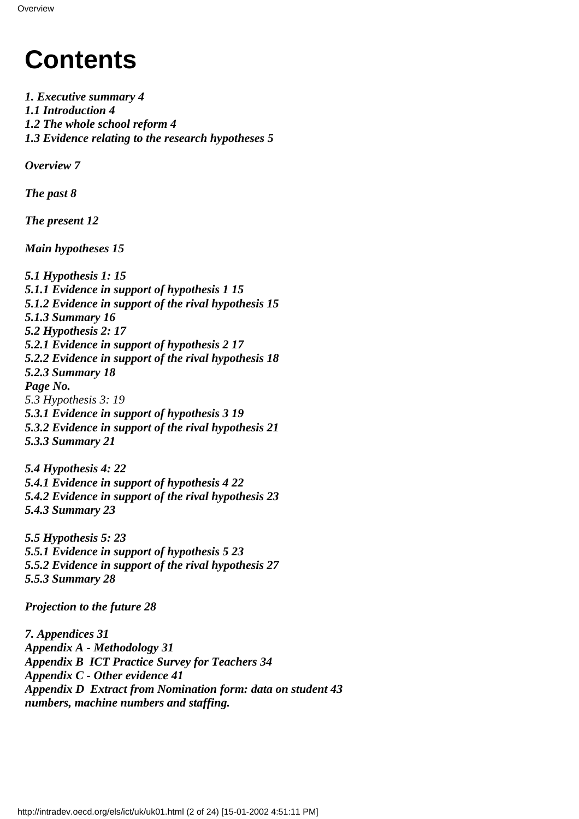### **Contents**

*1. Executive summary 4 1.1 Introduction 4 1.2 The whole school reform 4 1.3 Evidence relating to the research hypotheses 5*

*Overview 7*

*The past 8*

*The present 12*

*Main hypotheses 15*

*5.1 Hypothesis 1: 15 5.1.1 Evidence in support of hypothesis 1 15 5.1.2 Evidence in support of the rival hypothesis 15 5.1.3 Summary 16 5.2 Hypothesis 2: 17 5.2.1 Evidence in support of hypothesis 2 17 5.2.2 Evidence in support of the rival hypothesis 18 5.2.3 Summary 18 Page No. 5.3 Hypothesis 3: 19 5.3.1 Evidence in support of hypothesis 3 19 5.3.2 Evidence in support of the rival hypothesis 21 5.3.3 Summary 21*

*5.4 Hypothesis 4: 22 5.4.1 Evidence in support of hypothesis 4 22 5.4.2 Evidence in support of the rival hypothesis 23 5.4.3 Summary 23*

*5.5 Hypothesis 5: 23 5.5.1 Evidence in support of hypothesis 5 23 5.5.2 Evidence in support of the rival hypothesis 27 5.5.3 Summary 28*

*Projection to the future 28*

*7. Appendices 31 Appendix A - Methodology 31 Appendix B ICT Practice Survey for Teachers 34 Appendix C - Other evidence 41 Appendix D Extract from Nomination form: data on student 43 numbers, machine numbers and staffing.*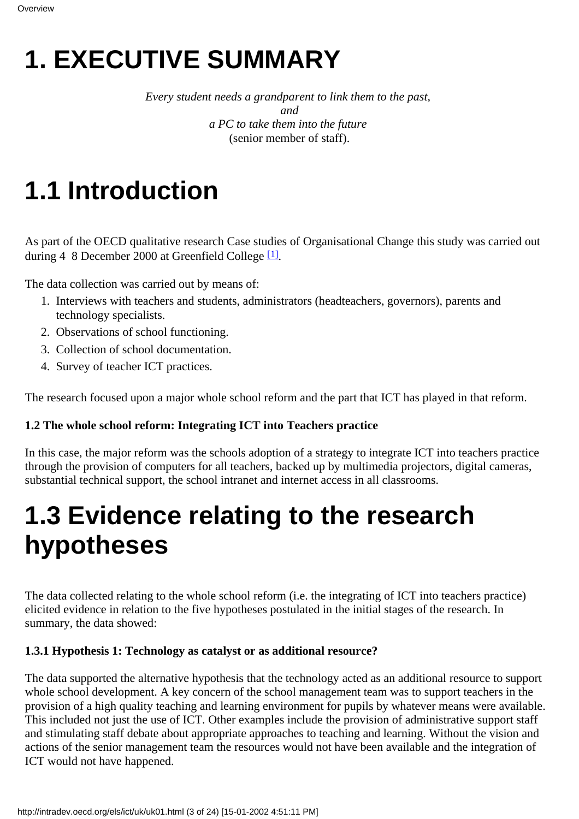# **1. EXECUTIVE SUMMARY**

*Every student needs a grandparent to link them to the past, and a PC to take them into the future* (senior member of staff).

## **1.1 Introduction**

<span id="page-2-0"></span>As part of the OECD qualitative research Case studies of Organisational Change this study was carried out during  $4 \quad 8$  December 2000 at Greenfield College<sup>[\[1\]](#page-23-0)</sup>.

The data collection was carried out by means of:

- 1. Interviews with teachers and students, administrators (headteachers, governors), parents and technology specialists.
- 2. Observations of school functioning.
- 3. Collection of school documentation.
- 4. Survey of teacher ICT practices.

The research focused upon a major whole school reform and the part that ICT has played in that reform.

#### **1.2 The whole school reform: Integrating ICT into Teachers practice**

In this case, the major reform was the school s adoption of a strategy to integrate ICT into teachers practice through the provision of computers for all teachers, backed up by multimedia projectors, digital cameras, substantial technical support, the school intranet and internet access in all classrooms.

### **1.3 Evidence relating to the research hypotheses**

The data collected relating to the whole school reform (i.e. the integrating of ICT into teachers practice) elicited evidence in relation to the five hypotheses postulated in the initial stages of the research. In summary, the data showed:

#### **1.3.1 Hypothesis 1: Technology as catalyst or as additional resource?**

The data supported the alternative hypothesis that the technology acted as an additional resource to support whole school development. A key concern of the school management team was to support teachers in the provision of a high quality teaching and learning environment for pupils by whatever means were available. This included not just the use of ICT. Other examples include the provision of administrative support staff and stimulating staff debate about appropriate approaches to teaching and learning. Without the vision and actions of the senior management team the resources would not have been available and the integration of ICT would not have happened.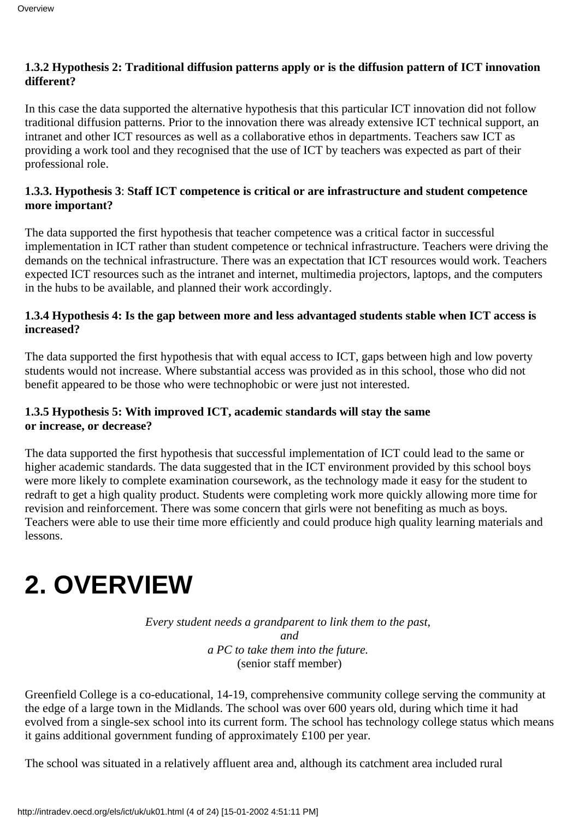#### **1.3.2 Hypothesis 2: Traditional diffusion patterns apply or is the diffusion pattern of ICT innovation different?**

In this case the data supported the alternative hypothesis that this particular ICT innovation did not follow traditional diffusion patterns. Prior to the innovation there was already extensive ICT technical support, an intranet and other ICT resources as well as a collaborative ethos in departments. Teachers saw ICT as providing a work tool and they recognised that the use of ICT by teachers was expected as part of their professional role.

#### **1.3.3. Hypothesis 3**: **Staff ICT competence is critical or are infrastructure and student competence more important?**

The data supported the first hypothesis that teacher competence was a critical factor in successful implementation in ICT rather than student competence or technical infrastructure. Teachers were driving the demands on the technical infrastructure. There was an expectation that ICT resources would work. Teachers expected ICT resources such as the intranet and internet, multimedia projectors, laptops, and the computers in the hubs to be available, and planned their work accordingly.

#### **1.3.4 Hypothesis 4: Is the gap between more and less advantaged students stable when ICT access is increased?**

The data supported the first hypothesis that with equal access to ICT, gaps between high and low poverty students would not increase. Where substantial access was provided as in this school, those who did not benefit appeared to be those who were technophobic or were just not interested.

#### **1.3.5 Hypothesis 5: With improved ICT, academic standards will stay the same or increase, or decrease?**

The data supported the first hypothesis that successful implementation of ICT could lead to the same or higher academic standards. The data suggested that in the ICT environment provided by this school boys were more likely to complete examination coursework, as the technology made it easy for the student to redraft to get a high quality product. Students were completing work more quickly allowing more time for revision and reinforcement. There was some concern that girls were not benefiting as much as boys. Teachers were able to use their time more efficiently and could produce high quality learning materials and lessons.

## **2. OVERVIEW**

*Every student needs a grandparent to link them to the past, and a PC to take them into the future.* (senior staff member)

Greenfield College is a co-educational, 14-19, comprehensive community college serving the community at the edge of a large town in the Midlands. The school was over 600 years old, during which time it had evolved from a single-sex school into its current form. The school has technology college status which means it gains additional government funding of approximately £100 per year.

The school was situated in a relatively affluent area and, although its catchment area included rural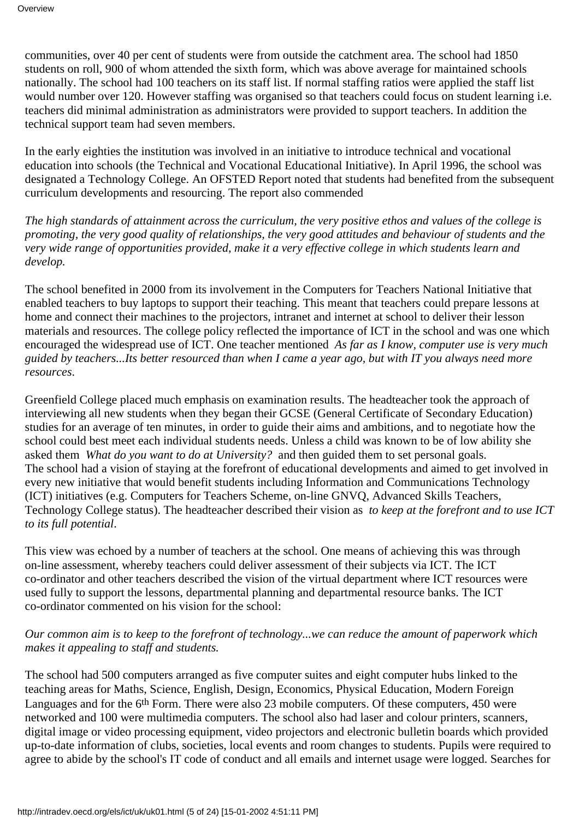communities, over 40 per cent of students were from outside the catchment area. The school had 1850 students on roll, 900 of whom attended the sixth form, which was above average for maintained schools nationally. The school had 100 teachers on its staff list. If normal staffing ratios were applied the staff list would number over 120. However staffing was organised so that teachers could focus on student learning i.e. teachers did minimal administration as administrators were provided to support teachers. In addition the technical support team had seven members.

In the early eighties the institution was involved in an initiative to introduce technical and vocational education into schools (the Technical and Vocational Educational Initiative). In April 1996, the school was designated a Technology College. An OFSTED Report noted that students had benefited from the subsequent curriculum developments and resourcing. The report also commended

*The high standards of attainment across the curriculum, the very positive ethos and values of the college is promoting, the very good quality of relationships, the very good attitudes and behaviour of students and the very wide range of opportunities provided, make it a very effective college in which students learn and develop.*

The school benefited in 2000 from its involvement in the Computers for Teachers National Initiative that enabled teachers to buy laptops to support their teaching. This meant that teachers could prepare lessons at home and connect their machines to the projectors, intranet and internet at school to deliver their lesson materials and resources. The college policy reflected the importance of ICT in the school and was one which encouraged the widespread use of ICT. One teacher mentioned *As far as I know, computer use is very much* guided by teachers...It s better resourced than when I came a year ago, but with IT you always need more *resources*.

Greenfield College placed much emphasis on examination results. The headteacher took the approach of interviewing all new students when they began their GCSE (General Certificate of Secondary Education) studies for an average of ten minutes, in order to guide their aims and ambitions, and to negotiate how the school could best meet each individual student s needs. Unless a child was known to be of low ability she asked them *What do you want to do at University?* and then guided them to set personal goals. The school had a vision of staying at the forefront of educational developments and aimed to get involved in every new initiative that would benefit students including Information and Communications Technology (ICT) initiatives (e.g. Computers for Teachers Scheme, on-line GNVQ, Advanced Skills Teachers, Technology College status). The headteacher described their vision as *to keep at the forefront and to use ICT to its full potential*.

This view was echoed by a number of teachers at the school. One means of achieving this was through on-line assessment, whereby teachers could deliver assessment of their subjects via ICT. The ICT co-ordinator and other teachers described the vision of the virtual department where ICT resources were used fully to support the lessons, departmental planning and departmental resource banks. The ICT co-ordinator commented on his vision for the school:

#### *Our common aim is to keep to the forefront of technology...we can reduce the amount of paperwork which makes it appealing to staff and students.*

The school had 500 computers arranged as five computer suites and eight computer hubs linked to the teaching areas for Maths, Science, English, Design, Economics, Physical Education, Modern Foreign Languages and for the 6<sup>th</sup> Form. There were also 23 mobile computers. Of these computers, 450 were networked and 100 were multimedia computers. The school also had laser and colour printers, scanners, digital image or video processing equipment, video projectors and electronic bulletin boards which provided up-to-date information of clubs, societies, local events and room changes to students. Pupils were required to agree to abide by the school's IT code of conduct and all emails and internet usage were logged. Searches for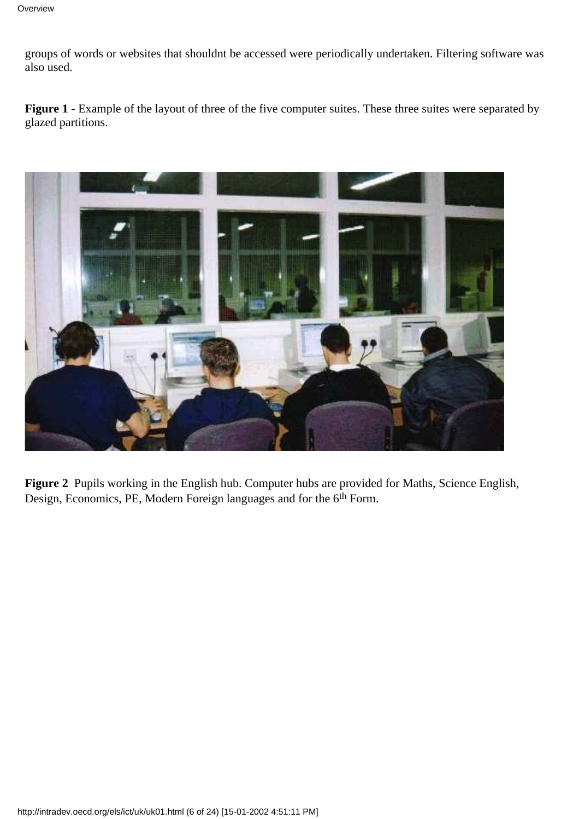groups of words or websites that shouldn t be accessed were periodically undertaken. Filtering software was also used.

**Figure 1** - Example of the layout of three of the five computer suites. These three suites were separated by glazed partitions.



**Figure 2** Pupils working in the English hub. Computer hubs are provided for Maths, Science English, Design, Economics, PE, Modern Foreign languages and for the 6<sup>th</sup> Form.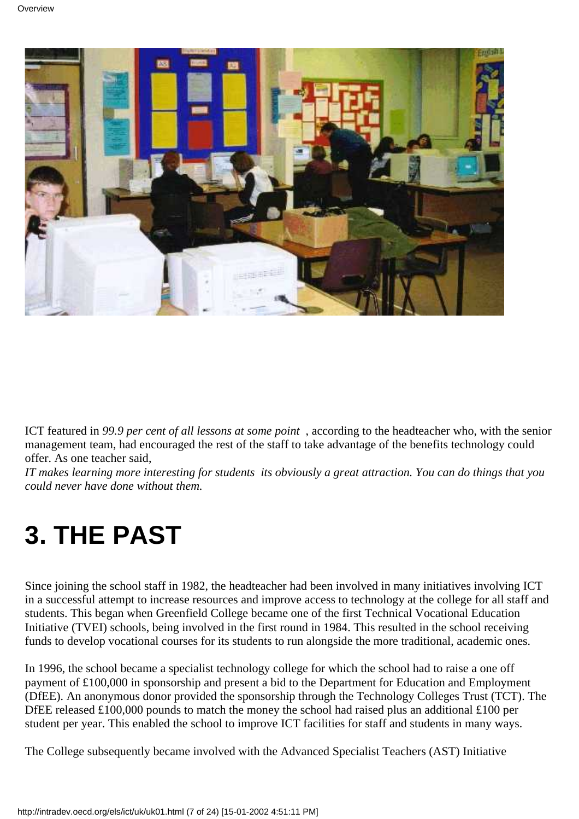

ICT featured in *99.9 per cent of all lessons at some point*, according to the headteacher who, with the senior management team, had encouraged the rest of the staff to take advantage of the benefits technology could offer. As one teacher said,

*IT makes learning more interesting for students its obviously a great attraction. You can do things that you could never have done without them.*

## **3. THE PAST**

Since joining the school staff in 1982, the headteacher had been involved in many initiatives involving ICT in a successful attempt to increase resources and improve access to technology at the college for all staff and students. This began when Greenfield College became one of the first Technical Vocational Education Initiative (TVEI) schools, being involved in the first round in 1984. This resulted in the school receiving funds to develop vocational courses for its students to run alongside the more traditional, academic ones.

In 1996, the school became a specialist technology college for which the school had to raise a one off payment of £100,000 in sponsorship and present a bid to the Department for Education and Employment (DfEE). An anonymous donor provided the sponsorship through the Technology Colleges Trust (TCT). The DfEE released £100,000 pounds to match the money the school had raised plus an additional £100 per student per year. This enabled the school to improve ICT facilities for staff and students in many ways.

The College subsequently became involved with the Advanced Specialist Teachers (AST) Initiative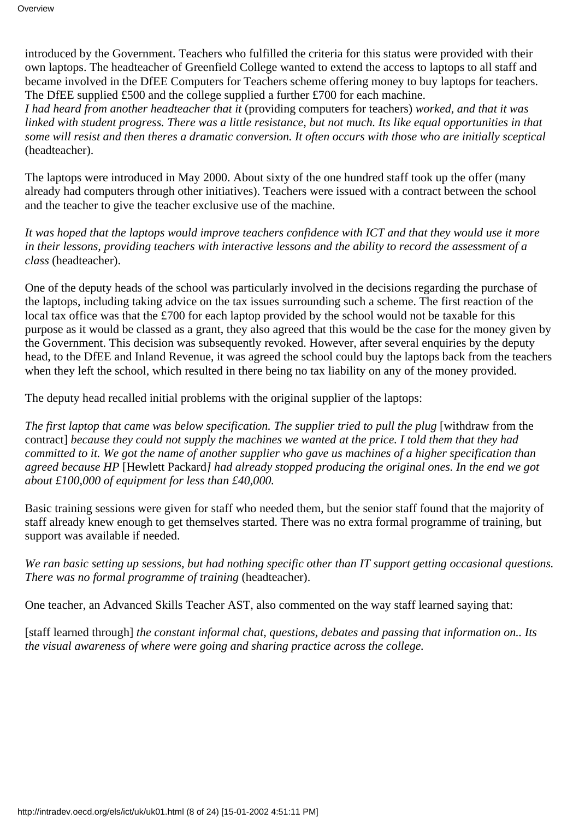introduced by the Government. Teachers who fulfilled the criteria for this status were provided with their own laptops. The headteacher of Greenfield College wanted to extend the access to laptops to all staff and became involved in the DfEE Computers for Teachers scheme offering money to buy laptops for teachers. The DfEE supplied £500 and the college supplied a further £700 for each machine.

*I had heard from another headteacher that it* (providing computers for teachers) *worked, and that it was* linked with student progress. There was a little resistance, but not much. It s like equal opportunities in that *some will resist and then theres a dramatic conversion. It often occurs with those who are initially sceptical* (headteacher).

The laptops were introduced in May 2000. About sixty of the one hundred staff took up the offer (many already had computers through other initiatives). Teachers were issued with a contract between the school and the teacher to give the teacher exclusive use of the machine.

*It was hoped that the laptops would improve teachers confidence with ICT and that they would use it more in their lessons, providing teachers with interactive lessons and the ability to record the assessment of a class* (headteacher).

One of the deputy heads of the school was particularly involved in the decisions regarding the purchase of the laptops, including taking advice on the tax issues surrounding such a scheme. The first reaction of the local tax office was that the £700 for each laptop provided by the school would not be taxable for this purpose as it would be classed as a grant, they also agreed that this would be the case for the money given by the Government. This decision was subsequently revoked. However, after several enquiries by the deputy head, to the DfEE and Inland Revenue, it was agreed the school could buy the laptops back from the teachers when they left the school, which resulted in there being no tax liability on any of the money provided.

The deputy head recalled initial problems with the original supplier of the laptops:

The first laptop that came was below specification. The supplier tried to pull the plug [withdraw from the contract] *because they could not supply the machines we wanted at the price. I told them that they had committed to it. We got the name of another supplier who gave us machines of a higher specification than agreed because HP* [Hewlett Packard*] had already stopped producing the original ones. In the end we got about £100,000 of equipment for less than £40,000.*

Basic training sessions were given for staff who needed them, but the senior staff found that the majority of staff already knew enough to get themselves started. There was no extra formal programme of training, but support was available if needed.

*We ran basic setting up sessions, but had nothing specific other than IT support getting occasional questions. There was no formal programme of training* (headteacher).

One teacher, an Advanced Skills Teacher AST, also commented on the way staff learned saying that:

[staff learned through] *the constant informal chat, questions, debates and passing that information on.. It s the visual awareness of where were going and sharing practice across the college.*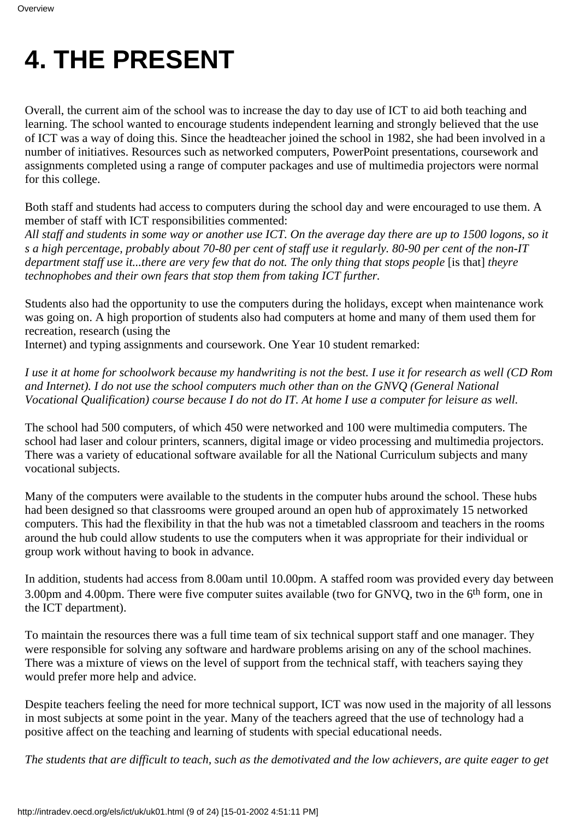### **4. THE PRESENT**

Overall, the current aim of the school was to increase the day to day use of ICT to aid both teaching and learning. The school wanted to encourage students independent learning and strongly believed that the use of ICT was a way of doing this. Since the headteacher joined the school in 1982, she had been involved in a number of initiatives. Resources such as networked computers, PowerPoint presentations, coursework and assignments completed using a range of computer packages and use of multimedia projectors were normal for this college.

Both staff and students had access to computers during the school day and were encouraged to use them. A member of staff with ICT responsibilities commented:

*All staff and students in some way or another use ICT. On the average day there are up to 1500 logons, so it s a high percentage, probably about 70-80 per cent of staff use it regularly. 80-90 per cent of the non-IT department staff use it...there are very few that do not. The only thing that stops people* [is that] they re *technophobes and their own fears that stop them from taking ICT further.*

Students also had the opportunity to use the computers during the holidays, except when maintenance work was going on. A high proportion of students also had computers at home and many of them used them for recreation, research (using the

Internet) and typing assignments and coursework. One Year 10 student remarked:

*I use it at home for schoolwork because my handwriting is not the best. I use it for research as well (CD Rom and Internet). I do not use the school computers much other than on the GNVQ (General National Vocational Qualification) course because I do not do IT. At home I use a computer for leisure as well.*

The school had 500 computers, of which 450 were networked and 100 were multimedia computers. The school had laser and colour printers, scanners, digital image or video processing and multimedia projectors. There was a variety of educational software available for all the National Curriculum subjects and many vocational subjects.

Many of the computers were available to the students in the computer hubs around the school. These hubs had been designed so that classrooms were grouped around an open hub of approximately 15 networked computers. This had the flexibility in that the hub was not a timetabled classroom and teachers in the rooms around the hub could allow students to use the computers when it was appropriate for their individual or group work without having to book in advance.

In addition, students had access from 8.00am until 10.00pm. A staffed room was provided every day between 3.00pm and 4.00pm. There were five computer suites available (two for GNVQ, two in the 6th form, one in the ICT department).

To maintain the resources there was a full time team of six technical support staff and one manager. They were responsible for solving any software and hardware problems arising on any of the school machines. There was a mixture of views on the level of support from the technical staff, with teachers saying they would prefer more help and advice.

Despite teachers feeling the need for more technical support, ICT was now used in the majority of all lessons in most subjects at some point in the year. Many of the teachers agreed that the use of technology had a positive affect on the teaching and learning of students with special educational needs.

*The students that are difficult to teach, such as the demotivated and the low achievers, are quite eager to get*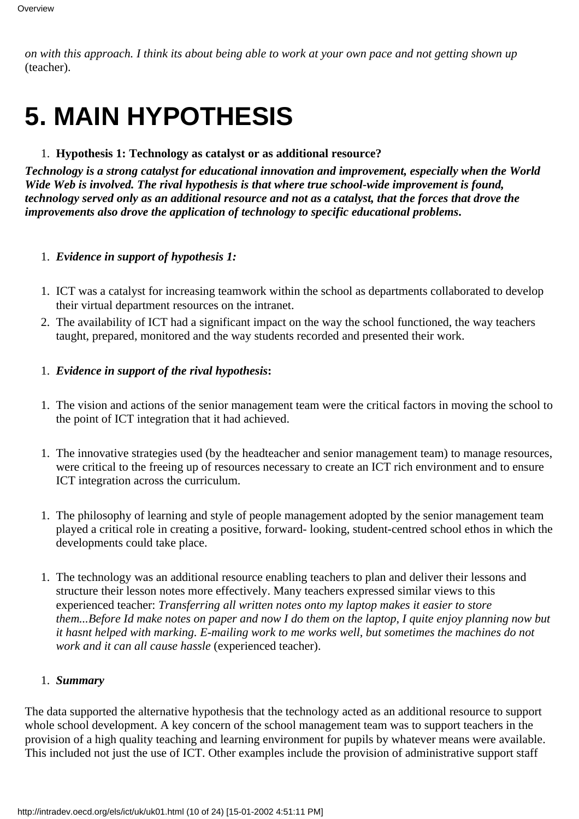*on with this approach. I think its about being able to work at your own pace and not getting shown up* (teacher).

## **5. MAIN HYPOTHESIS**

#### 1. **Hypothesis 1: Technology as catalyst or as additional resource?**

*Technology is a strong catalyst for educational innovation and improvement, especially when the World Wide Web is involved. The rival hypothesis is that where true school-wide improvement is found, technology served only as an additional resource and not as a catalyst, that the forces that drove the improvements also drove the application of technology to specific educational problems***.**

#### 1. *Evidence in support of hypothesis 1:*

- ICT was a catalyst for increasing teamwork within the school as departments collaborated to develop 1. their virtual department resources on the intranet.
- The availability of ICT had a significant impact on the way the school functioned, the way teachers 2. taught, prepared, monitored and the way students recorded and presented their work.

#### 1. *Evidence in support of the rival hypothesis***:**

- 1. The vision and actions of the senior management team were the critical factors in moving the school to the point of ICT integration that it had achieved.
- The innovative strategies used (by the headteacher and senior management team) to manage resources, 1. were critical to the freeing up of resources necessary to create an ICT rich environment and to ensure ICT integration across the curriculum.
- 1. The philosophy of learning and style of people management adopted by the senior management team played a critical role in creating a positive, forward- looking, student-centred school ethos in which the developments could take place.
- 1. The technology was an additional resource enabling teachers to plan and deliver their lessons and structure their lesson notes more effectively. Many teachers expressed similar views to this experienced teacher: *Transferring all written notes onto my laptop makes it easier to store them...Before Id make notes on paper and now I do them on the laptop, I quite enjoy planning now but it hasnt helped with marking. E-mailing work to me works well, but sometimes the machines do not work and it can all cause hassle* (experienced teacher).

#### 1. *Summary*

The data supported the alternative hypothesis that the technology acted as an additional resource to support whole school development. A key concern of the school management team was to support teachers in the provision of a high quality teaching and learning environment for pupils by whatever means were available. This included not just the use of ICT. Other examples include the provision of administrative support staff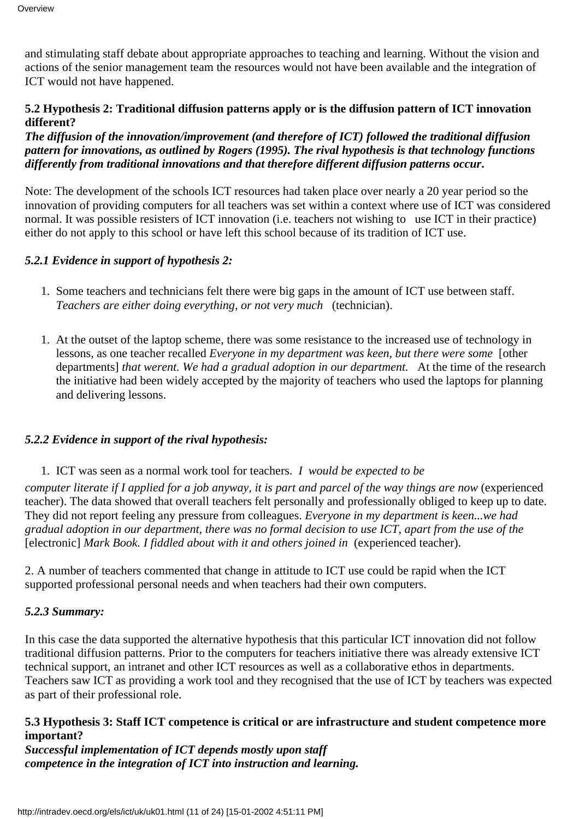and stimulating staff debate about appropriate approaches to teaching and learning. Without the vision and actions of the senior management team the resources would not have been available and the integration of ICT would not have happened.

#### **5.2 Hypothesis 2: Traditional diffusion patterns apply or is the diffusion pattern of ICT innovation different?**

*The diffusion of the innovation/improvement (and therefore of ICT) followed the traditional diffusion pattern for innovations, as outlined by Rogers (1995). The rival hypothesis is that technology functions differently from traditional innovations and that therefore different diffusion patterns occur***.**

Note: The development of the school s ICT resources had taken place over nearly a 20 year period so the innovation of providing computers for all teachers was set within a context where use of ICT was considered normal. It was possible resisters of ICT innovation (i.e. teachers not wishing to use ICT in their practice) either do not apply to this school or have left this school because of its tradition of ICT use.

#### *5.2.1 Evidence in support of hypothesis 2:*

- 1. Some teachers and technicians felt there were big gaps in the amount of ICT use between staff. *Teachers are either doing everything, or not very much* (technician).
- At the outset of the laptop scheme, there was some resistance to the increased use of technology in 1. lessons, as one teacher recalled *Everyone in my department was keen, but there were some* [other departments] *that weren t. We had a gradual adoption in our department*. At the time of the research the initiative had been widely accepted by the majority of teachers who used the laptops for planning and delivering lessons.

#### *5.2.2 Evidence in support of the rival hypothesis:*

1. ICT was seen as a normal work tool for teachers.  *I would be expected to be*

*computer literate if I applied for a job anyway, it is part and parcel of the way things are now* (experienced teacher). The data showed that overall teachers felt personally and professionally obliged to keep up to date. They did not report feeling any pressure from colleagues. *Everyone in my department is keen...we had gradual adoption in our department, there was no formal decision to use ICT, apart from the use of the* [electronic] *Mark Book. I fiddled about with it and others joined in* (experienced teacher).

2. A number of teachers commented that change in attitude to ICT use could be rapid when the ICT supported professional personal needs and when teachers had their own computers.

#### *5.2.3 Summary:*

In this case the data supported the alternative hypothesis that this particular ICT innovation did not follow traditional diffusion patterns. Prior to the computers for teachers initiative there was already extensive ICT technical support, an intranet and other ICT resources as well as a collaborative ethos in departments. Teachers saw ICT as providing a work tool and they recognised that the use of ICT by teachers was expected as part of their professional role.

#### **5.3 Hypothesis 3: Staff ICT competence is critical or are infrastructure and student competence more important?**

*Successful implementation of ICT depends mostly upon staff competence in the integration of ICT into instruction and learning.*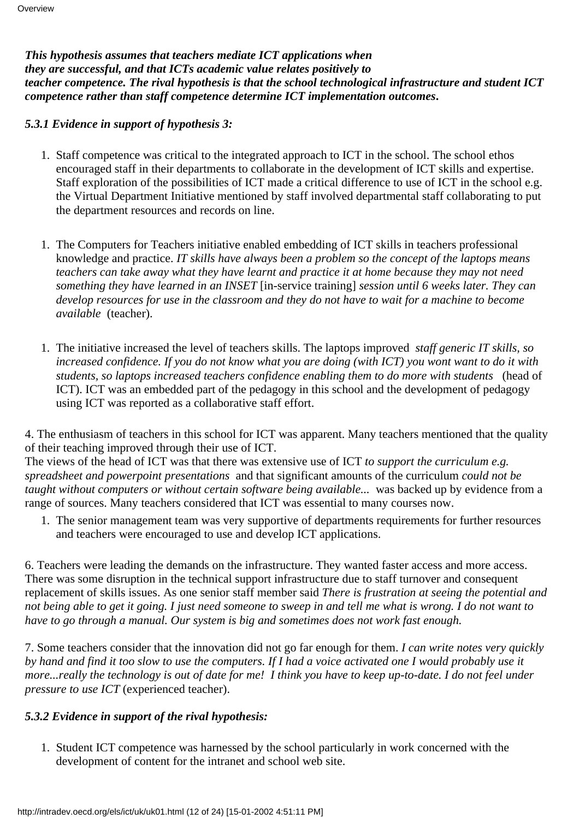*This hypothesis assumes that teachers mediate ICT applications when they are successful, and that ICTs academic value relates positively to teacher competence. The rival hypothesis is that the school technological infrastructure and student ICT competence rather than staff competence determine ICT implementation outcomes***.**

*5.3.1 Evidence in support of hypothesis 3:*

- 1. Staff competence was critical to the integrated approach to ICT in the school. The school ethos encouraged staff in their departments to collaborate in the development of ICT skills and expertise. Staff exploration of the possibilities of ICT made a critical difference to use of ICT in the school e.g. the Virtual Department Initiative mentioned by staff involved departmental staff collaborating to put the department resources and records on line.
- 1. The Computers for Teachers initiative enabled embedding of ICT skills in teachers professional knowledge and practice. *IT skills have always been a problem so the concept of the laptops means teachers can take away what they have learnt and practice it at home because they may not need something they have learned in an INSET* [in-service training] *session until 6 weeks later. They can develop resources for use in the classroom and they do not have to wait for a machine to become available* (teacher).
- The initiative increased the level of teachers skills. The laptops improved *staff generic IT skills, so* 1. *increased confidence. If you do not know what you are doing (with ICT) you wont want to do it with students, so laptops increased teachers confidence enabling them to do more with students* (head of ICT). ICT was an embedded part of the pedagogy in this school and the development of pedagogy using ICT was reported as a collaborative staff effort.

4. The enthusiasm of teachers in this school for ICT was apparent. Many teachers mentioned that the quality of their teaching improved through their use of ICT.

The views of the head of ICT was that there was extensive use of ICT *to support the curriculum e.g. spreadsheet and powerpoint presentations* and that significant amounts of the curriculum *could not be taught without computers or without certain software being available...* was backed up by evidence from a range of sources. Many teachers considered that ICT was essential to many courses now.

1. The senior management team was very supportive of departments requirements for further resources and teachers were encouraged to use and develop ICT applications.

6. Teachers were leading the demands on the infrastructure. They wanted faster access and more access. There was some disruption in the technical support infrastructure due to staff turnover and consequent replacement of skills issues. As one senior staff member said *There is frustration at seeing the potential and not being able to get it going. I just need someone to sweep in and tell me what is wrong. I do not want to have to go through a manual. Our system is big and sometimes does not work fast enough.*

7. Some teachers consider that the innovation did not go far enough for them. *I can write notes very quickly by hand and find it too slow to use the computers. If I had a voice activated one I would probably use it more...really the technology is out of date for me! I think you have to keep up-to-date. I do not feel under pressure to use ICT* (experienced teacher).

#### *5.3.2 Evidence in support of the rival hypothesis:*

1. Student ICT competence was harnessed by the school particularly in work concerned with the development of content for the intranet and school web site.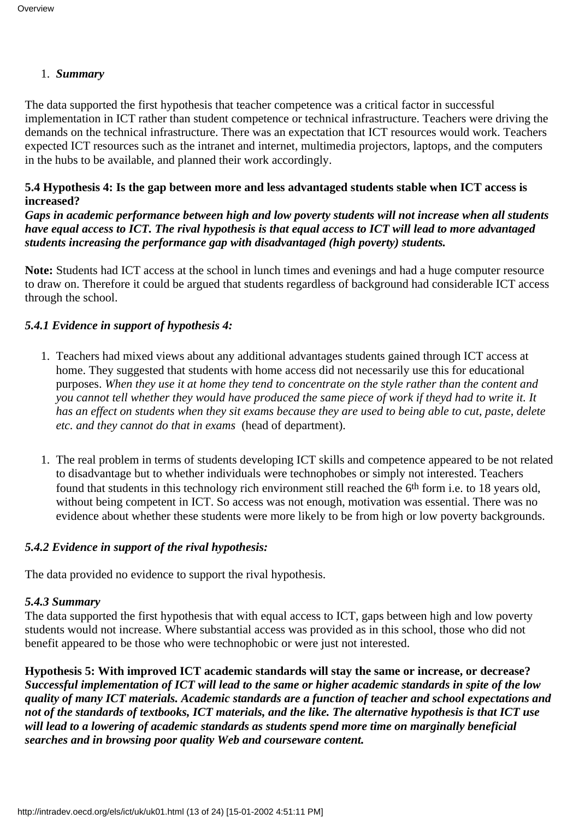#### 1. *Summary*

The data supported the first hypothesis that teacher competence was a critical factor in successful implementation in ICT rather than student competence or technical infrastructure. Teachers were driving the demands on the technical infrastructure. There was an expectation that ICT resources would work. Teachers expected ICT resources such as the intranet and internet, multimedia projectors, laptops, and the computers in the hubs to be available, and planned their work accordingly.

#### **5.4 Hypothesis 4: Is the gap between more and less advantaged students stable when ICT access is increased?**

*Gaps in academic performance between high and low poverty students will not increase when all students have equal access to ICT. The rival hypothesis is that equal access to ICT will lead to more advantaged students increasing the performance gap with disadvantaged (high poverty) students.*

**Note:** Students had ICT access at the school in lunch times and evenings and had a huge computer resource to draw on. Therefore it could be argued that students regardless of background had considerable ICT access through the school.

#### *5.4.1 Evidence in support of hypothesis 4:*

- 1. Teachers had mixed views about any additional advantages students gained through ICT access at home. They suggested that students with home access did not necessarily use this for educational purposes. *When they use it at home they tend to concentrate on the style rather than the content and you cannot tell whether they would have produced the same piece of work if theyd had to write it. It has an effect on students when they sit exams because they are used to being able to cut, paste, delete etc. and they cannot do that in exams* (head of department).
- 1. The real problem in terms of students developing ICT skills and competence appeared to be not related to disadvantage but to whether individuals were technophobes or simply not interested. Teachers found that students in this technology rich environment still reached the 6<sup>th</sup> form i.e. to 18 years old, without being competent in ICT. So access was not enough, motivation was essential. There was no evidence about whether these students were more likely to be from high or low poverty backgrounds.

#### *5.4.2 Evidence in support of the rival hypothesis:*

The data provided no evidence to support the rival hypothesis.

#### *5.4.3 Summary*

The data supported the first hypothesis that with equal access to ICT, gaps between high and low poverty students would not increase. Where substantial access was provided as in this school, those who did not benefit appeared to be those who were technophobic or were just not interested.

**Hypothesis 5: With improved ICT academic standards will stay the same or increase, or decrease?** *Successful implementation of ICT will lead to the same or higher academic standards in spite of the low quality of many ICT materials. Academic standards are a function of teacher and school expectations and not of the standards of textbooks, ICT materials, and the like. The alternative hypothesis is that ICT use will lead to a lowering of academic standards as students spend more time on marginally beneficial searches and in browsing poor quality Web and courseware content.*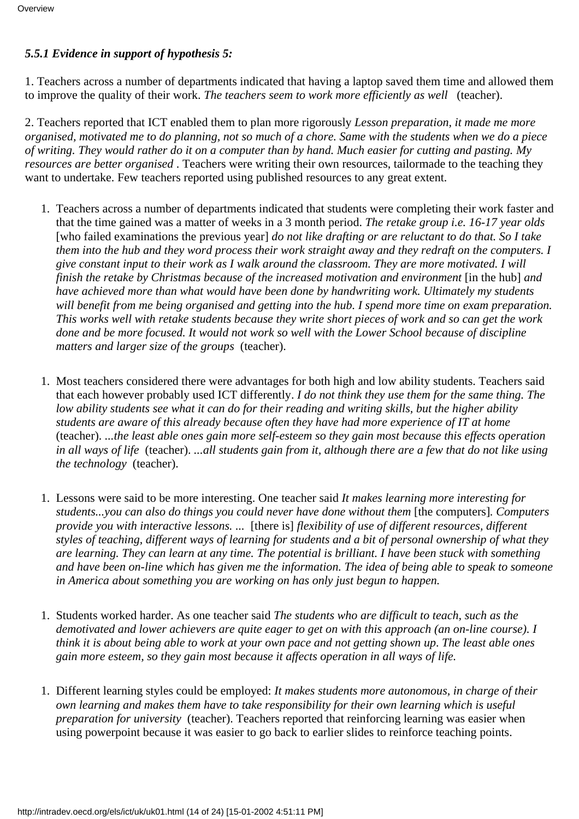#### *5.5.1 Evidence in support of hypothesis 5:*

1. Teachers across a number of departments indicated that having a laptop saved them time and allowed them to improve the quality of their work. *The teachers seem to work more efficiently as well* (teacher).

2. Teachers reported that ICT enabled them to plan more rigorously *Lesson preparation, it made me more organised, motivated me to do planning, not so much of a chore. Same with the students when we do a piece of writing. They would rather do it on a computer than by hand. Much easier for cutting and pasting. My resources are better organised*. Teachers were writing their own resources, tailormade to the teaching they want to undertake. Few teachers reported using published resources to any great extent.

- 1. Teachers across a number of departments indicated that students were completing their work faster and that the time gained was a matter of weeks in a 3 month period. *The retake group i.e. 16-17 year olds* [who failed examinations the previous year] *do not like drafting or are reluctant to do that. So I take them into the hub and they word process their work straight away and they redraft on the computers. I give constant input to their work as I walk around the classroom. They are more motivated. I will finish the retake by Christmas because of the increased motivation and environment* [in the hub] *and have achieved more than what would have been done by handwriting work. Ultimately my students will benefit from me being organised and getting into the hub. I spend more time on exam preparation. This works well with retake students because they write short pieces of work and so can get the work done and be more focused. It would not work so well with the Lower School because of discipline matters and larger size of the groups* (teacher).
- 1. Most teachers considered there were advantages for both high and low ability students. Teachers said that each however probably used ICT differently. *I do not think they use them for the same thing. The low ability students see what it can do for their reading and writing skills, but the higher ability students are aware of this already because often they have had more experience of IT at home* (teacher). *...the least able ones gain more self-esteem so they gain most because this effects operation in all ways of life* (teacher). *...all students gain from it, although there are a few that do not like using the technology* (teacher).
- Lessons were said to be more interesting. One teacher said *It makes learning more interesting for* 1. *students...you can also do things you could never have done without them* [the computers]*. Computers provide you with interactive lessons. ...*[there is] *flexibility of use of different resources, different styles of teaching, different ways of learning for students and a bit of personal ownership of what they are learning. They can learn at any time. The potential is brilliant. I have been stuck with something and have been on-line which has given me the information. The idea of being able to speak to someone in America about something you are working on has only just begun to happen.*
- 1. Students worked harder. As one teacher said The students who are difficult to teach, such as the *demotivated and lower achievers are quite eager to get on with this approach (an on-line course). I think it is about being able to work at your own pace and not getting shown up*. *The least able ones gain more esteem, so they gain most because it affects operation in all ways of life.*
- Different learning styles could be employed: *It makes students more autonomous, in charge of their* 1. *own learning and makes them have to take responsibility for their own learning which is useful preparation for university* (teacher). Teachers reported that reinforcing learning was easier when using powerpoint because it was easier to go back to earlier slides to reinforce teaching points.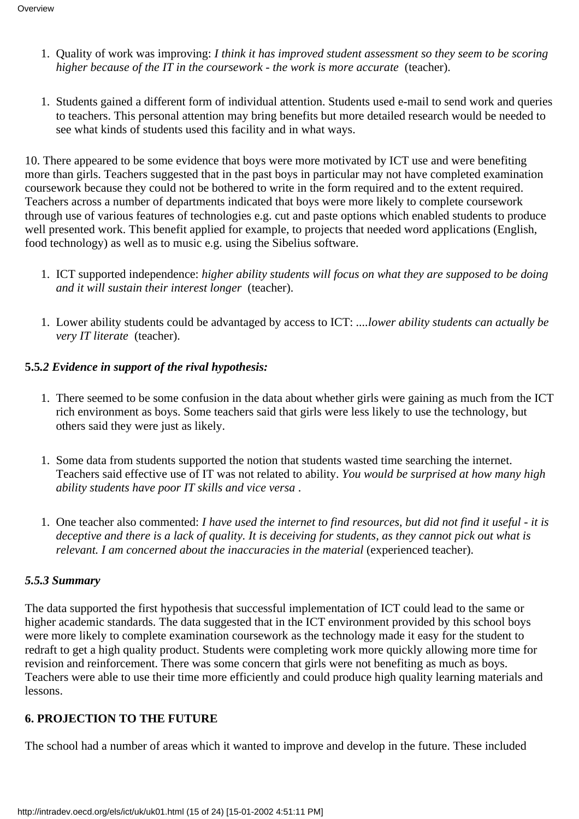- Quality of work was improving: *I think it has improved student assessment so they seem to be scoring* 1. *higher because of the IT in the coursework - the work is more accurate* (teacher).
- 1. Students gained a different form of individual attention. Students used e-mail to send work and queries to teachers. This personal attention may bring benefits but more detailed research would be needed to see what kinds of students used this facility and in what ways.

10. There appeared to be some evidence that boys were more motivated by ICT use and were benefiting more than girls. Teachers suggested that in the past boys in particular may not have completed examination coursework because they could not be bothered to write in the form required and to the extent required. Teachers across a number of departments indicated that boys were more likely to complete coursework through use of various features of technologies e.g. cut and paste options which enabled students to produce well presented work. This benefit applied for example, to projects that needed word applications (English, food technology) as well as to music e.g. using the Sibelius software.

- 1. ICT supported independence: higher ability students will focus on what they are supposed to be doing *and it will sustain their interest longer* (teacher).
- Lower ability students could be advantaged by access to ICT: *....lower ability students can actually be* 1. *very IT literate* (teacher).

#### **5.5***.2 Evidence in support of the rival hypothesis:*

- 1. There seemed to be some confusion in the data about whether girls were gaining as much from the ICT rich environment as boys. Some teachers said that girls were less likely to use the technology, but others said they were just as likely.
- 1. Some data from students supported the notion that students wasted time searching the internet. Teachers said effective use of IT was not related to ability. *You would be surprised at how many high ability students have poor IT skills and vice versa*.
- One teacher also commented: *I have used the internet to find resources, but did not find it useful it is* 1. *deceptive and there is a lack of quality. It is deceiving for students, as they cannot pick out what is relevant. I am concerned about the inaccuracies in the material* (experienced teacher).

#### *5.5.3 Summary*

The data supported the first hypothesis that successful implementation of ICT could lead to the same or higher academic standards. The data suggested that in the ICT environment provided by this school boys were more likely to complete examination coursework as the technology made it easy for the student to redraft to get a high quality product. Students were completing work more quickly allowing more time for revision and reinforcement. There was some concern that girls were not benefiting as much as boys. Teachers were able to use their time more efficiently and could produce high quality learning materials and lessons.

#### **6. PROJECTION TO THE FUTURE**

The school had a number of areas which it wanted to improve and develop in the future. These included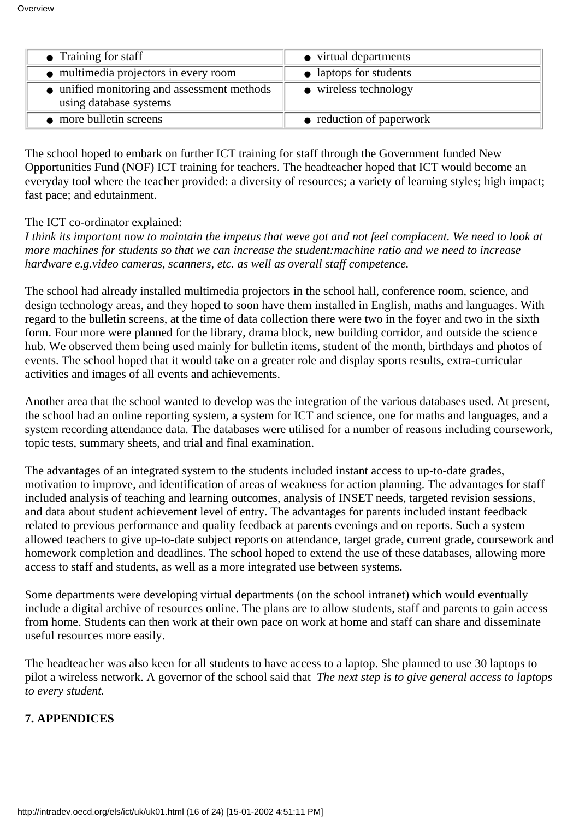| $\bullet$ Training for staff                                          | • virtual departments         |
|-----------------------------------------------------------------------|-------------------------------|
| • multimedia projectors in every room                                 | • laptops for students        |
| • unified monitoring and assessment methods<br>using database systems | $\bullet$ wireless technology |
| • more bulletin screens                                               | • reduction of paperwork      |

The school hoped to embark on further ICT training for staff through the Government funded New Opportunities Fund (NOF) ICT training for teachers. The headteacher hoped that ICT would become an everyday tool where the teacher provided: a diversity of resources; a variety of learning styles; high impact; fast pace; and edutainment.

#### The ICT co-ordinator explained:

*I think it s important now to maintain the impetus that we ve got and not feel complacent. We need to look at more machines for students so that we can increase the student:machine ratio and we need to increase hardware e.g.video cameras, scanners, etc. as well as overall staff competence.*

The school had already installed multimedia projectors in the school hall, conference room, science, and design technology areas, and they hoped to soon have them installed in English, maths and languages. With regard to the bulletin screens, at the time of data collection there were two in the foyer and two in the sixth form. Four more were planned for the library, drama block, new building corridor, and outside the science hub. We observed them being used mainly for bulletin items, student of the month, birthdays and photos of events. The school hoped that it would take on a greater role and display sports results, extra-curricular activities and images of all events and achievements.

Another area that the school wanted to develop was the integration of the various databases used. At present, the school had an online reporting system, a system for ICT and science, one for maths and languages, and a system recording attendance data. The databases were utilised for a number of reasons including coursework, topic tests, summary sheets, and trial and final examination.

The advantages of an integrated system to the students included instant access to up-to-date grades, motivation to improve, and identification of areas of weakness for action planning. The advantages for staff included analysis of teaching and learning outcomes, analysis of INSET needs, targeted revision sessions, and data about student achievement level of entry. The advantages for parents included instant feedback related to previous performance and quality feedback at parents evenings and on reports. Such a system allowed teachers to give up-to-date subject reports on attendance, target grade, current grade, coursework and homework completion and deadlines. The school hoped to extend the use of these databases, allowing more access to staff and students, as well as a more integrated use between systems.

Some departments were developing virtual departments (on the school intranet) which would eventually include a digital archive of resources online. The plans are to allow students, staff and parents to gain access from home. Students can then work at their own pace on work at home and staff can share and disseminate useful resources more easily.

The headteacher was also keen for all students to have access to a laptop. She planned to use 30 laptops to pilot a wireless network. A governor of the school said that *The next step is to give general access to laptops to every student.*

#### **7. APPENDICES**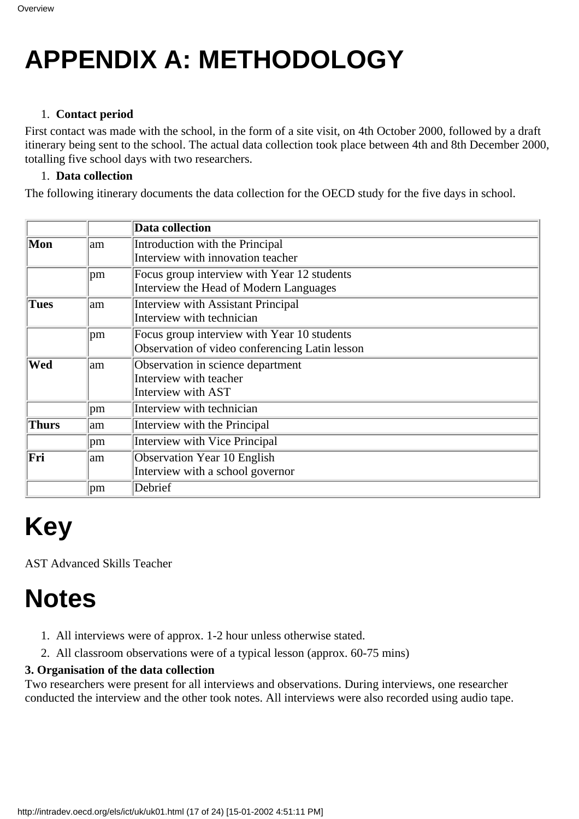## **APPENDIX A: METHODOLOGY**

#### 1. **Contact period**

First contact was made with the school, in the form of a site visit, on 4th October 2000, followed by a draft itinerary being sent to the school. The actual data collection took place between 4th and 8th December 2000, totalling five school days with two researchers.

#### 1. **Data collection**

The following itinerary documents the data collection for the OECD study for the five days in school.

|                                                  |     | <b>Data collection</b>                         |
|--------------------------------------------------|-----|------------------------------------------------|
| Mon                                              | lam | Introduction with the Principal                |
|                                                  |     | Interview with innovation teacher              |
|                                                  | pm  | Focus group interview with Year 12 students    |
|                                                  |     | Interview the Head of Modern Languages         |
| Tues                                             | lam | <b>Interview with Assistant Principal</b>      |
|                                                  |     | Interview with technician                      |
|                                                  | pm  | Focus group interview with Year 10 students    |
|                                                  |     | Observation of video conferencing Latin lesson |
| Wed<br>Observation in science department<br>lam. |     |                                                |
|                                                  |     | Interview with teacher                         |
|                                                  |     | Interview with AST                             |
|                                                  | pm  | Interview with technician                      |
| <b>Thurs</b>                                     | lam | Interview with the Principal                   |
|                                                  | pm  | Interview with Vice Principal                  |
| Fri                                              | lam | Observation Year 10 English                    |
|                                                  |     | Interview with a school governor               |
|                                                  | pm  | Debrief                                        |

# **Key**

AST Advanced Skills Teacher

### **Notes**

- 1. All interviews were of approx. 1-2 hour unless otherwise stated.
- All classroom observations were of a typical lesson (approx. 60-75 mins)2.

#### **3. Organisation of the data collection**

Two researchers were present for all interviews and observations. During interviews, one researcher conducted the interview and the other took notes. All interviews were also recorded using audio tape.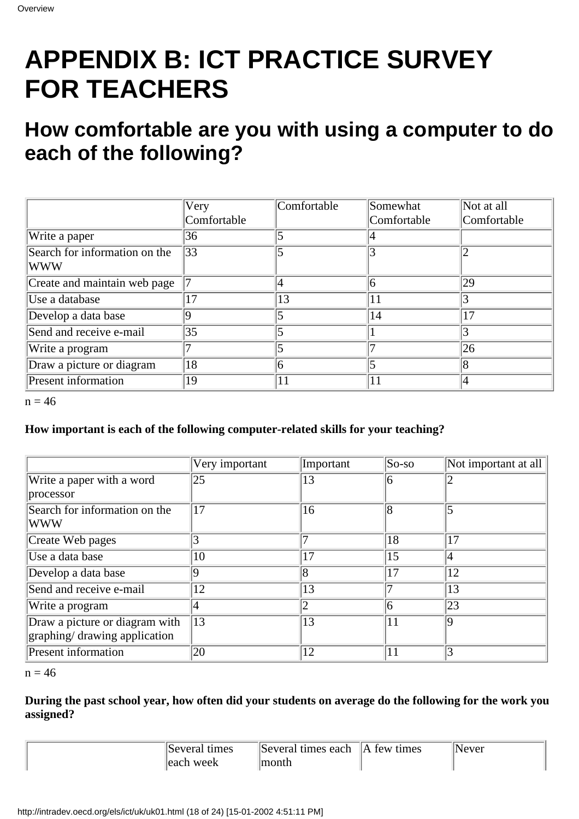## **APPENDIX B: ICT PRACTICE SURVEY FOR TEACHERS**

### **How comfortable are you with using a computer to do each of the following?**

|                                             | Very           | Comfortable | Somewhat    | Not at all     |
|---------------------------------------------|----------------|-------------|-------------|----------------|
|                                             | Comfortable    |             | Comfortable | Comfortable    |
| Write a paper                               | 36             |             |             |                |
| Search for information on the<br><b>WWW</b> | 33             |             |             |                |
| Create and maintain web page                |                |             | n           | 29             |
| Use a database                              | $\overline{7}$ | 13          | 11          |                |
| Develop a data base                         |                |             | 14          | 17             |
| Send and receive e-mail                     | 35             |             |             |                |
| Write a program                             |                |             |             | 26             |
| Draw a picture or diagram                   | 18             |             |             | $\overline{8}$ |
| <b>Present information</b>                  | 19             | 11          |             |                |

 $n = 46$ 

#### **How important is each of the following computer-related skills for your teaching?**

|                                | Very important | Important | So-so | Not important at all $\parallel$ |
|--------------------------------|----------------|-----------|-------|----------------------------------|
| Write a paper with a word      | 25             | 13        | 6     |                                  |
| processor                      |                |           |       |                                  |
| Search for information on the  | 17             | 16        | 8     |                                  |
| WWW                            |                |           |       |                                  |
| Create Web pages               | 3              |           | 18    | 17                               |
| Use a data base                | 10             | 17        | 15    | 14                               |
| Develop a data base            | 9              | 8         | 17    | 12                               |
| Send and receive e-mail        | 12             | 13        |       | 13                               |
| Write a program                | 4              |           | 6     | $ 23\rangle$                     |
| Draw a picture or diagram with | 13             | 13        | 11    | ۱Q                               |
| graphing/ drawing application  |                |           |       |                                  |
| Present information            | 20             | 12        | 11    |                                  |

 $n = 46$ 

#### **During the past school year, how often did your students on average do the following for the work you assigned?**

| "Several"<br>times | Several times each | tew times<br>$\Delta$ | vever |
|--------------------|--------------------|-----------------------|-------|
| leach week         | onth               |                       |       |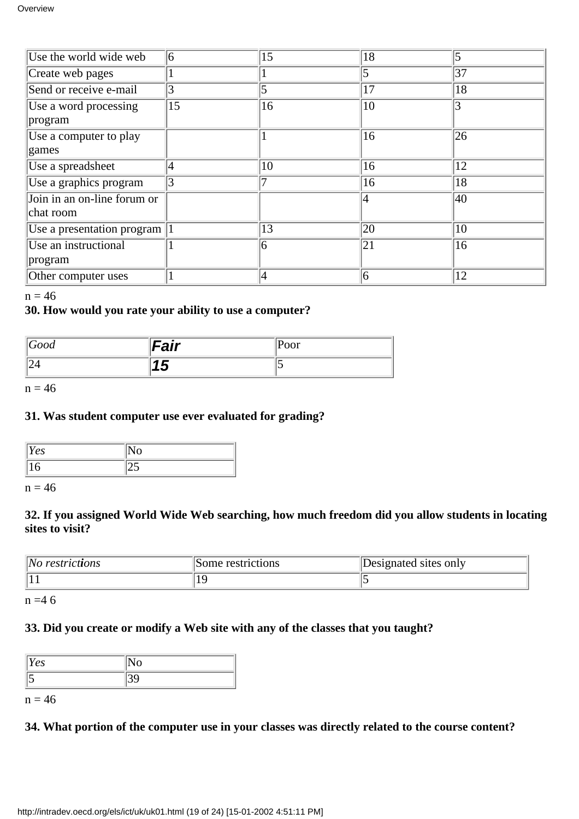| Use the world wide web        | 6  | 15 | 18 |    |
|-------------------------------|----|----|----|----|
|                               |    |    |    |    |
| Create web pages              |    |    | 5  | 37 |
| Send or receive e-mail        | 3  |    | 17 | 18 |
| Use a word processing         | 15 | 16 | 10 |    |
| program                       |    |    |    |    |
| Use a computer to play        |    |    | 16 | 26 |
| games                         |    |    |    |    |
| Use a spreadsheet             | 4  | 10 | 16 | 12 |
| Use a graphics program        |    |    | 16 | 18 |
| Join in an on-line forum or   |    |    |    | 40 |
| chat room                     |    |    |    |    |
| Use a presentation program  1 |    | 13 | 20 | 10 |
| Use an instructional          |    | 6  | 21 | 16 |
| program                       |    |    |    |    |
| Other computer uses           |    | 4  | 6  | 12 |

#### $n = 46$

#### **30. How would you rate your ability to use a computer?**

| Good | Fair    | $ P$ oor |
|------|---------|----------|
| ⊢∼   | . .<br> |          |

 $n = 46$ 

#### **31. Was student computer use ever evaluated for grading?**

| ັບ |  |
|----|--|
|    |  |

 $n = 46$ 

#### **32. If you assigned World Wide Web searching, how much freedom did you allow students in locating sites to visit?**

| No<br>restrictions | Some restrictions | Designated sites only |
|--------------------|-------------------|-----------------------|
|                    |                   |                       |

 $n = 46$ 

#### **33. Did you create or modify a Web site with any of the classes that you taught?**

| ັ |  |
|---|--|
|   |  |

 $n = 46$ 

#### **34. What portion of the computer use in your classes was directly related to the course content?**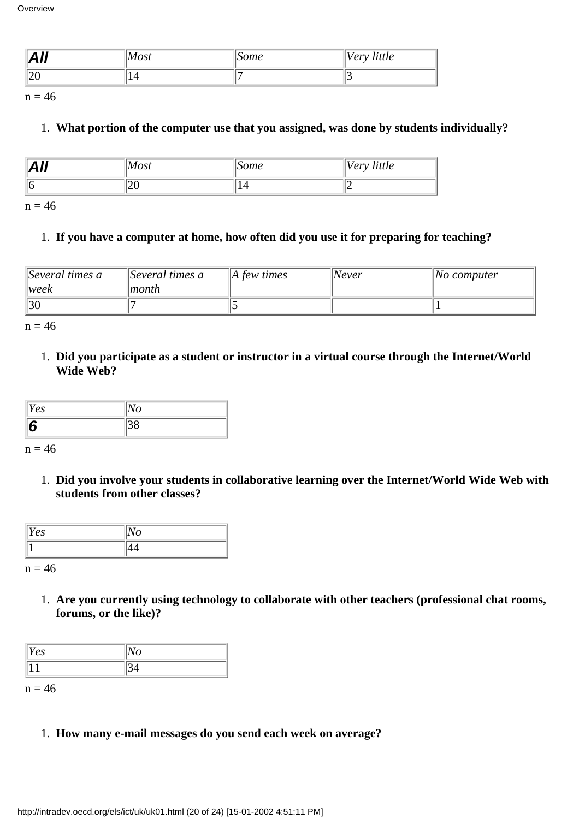| .<br>l<br>$\mathbf{L}$ | Most | ome<br>՝ | little<br>$V\rho r$<br>◡ |
|------------------------|------|----------|--------------------------|
| $\sqrt{ }$<br>∪⊾ا      |      |          | . .                      |

 $n = 46$ 

#### 1. **What portion of the computer use that you assigned, was done by students individually?**

| All | Most | 50me                            | Very little |
|-----|------|---------------------------------|-------------|
|     | ៲∠∪  | $\overline{\phantom{a}}$<br>⊥−т |             |

 $n = 46$ 

#### 1. **If you have a computer at home, how often did you use it for preparing for teaching?**

| $\beta$ Several times a<br> week | $\beta$ Several times a<br> month | $\parallel$ A few times | $\vert$ Never | $\Delta$ computer |
|----------------------------------|-----------------------------------|-------------------------|---------------|-------------------|
| 30                               |                                   |                         |               |                   |

 $n = 46$ 

**Did you participate as a student or instructor in a virtual course through the Internet/World** 1. **Wide Web?**

| Yes | $\overline{O}$ |  |
|-----|----------------|--|
|     | , U U          |  |

 $n = 46$ 

**Did you involve your students in collaborative learning over the Internet/World Wide Web with** 1. **students from other classes?**

| es | ັ |
|----|---|
|    |   |

 $n = 46$ 

**Are you currently using technology to collaborate with other teachers (professional chat rooms,** 1. **forums, or the like)?**

| ັບ | ັ |  |
|----|---|--|
|    |   |  |

 $n = 46$ 

1. **How many e-mail messages do you send each week on average?**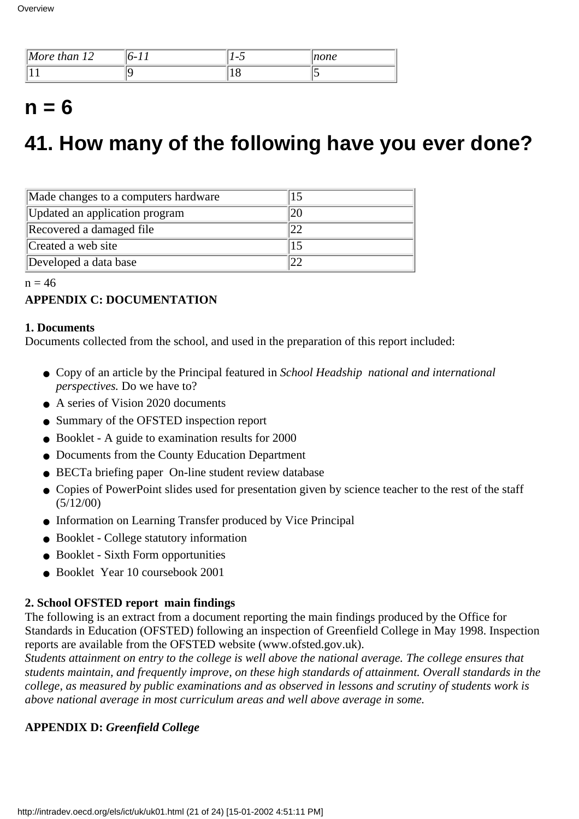| יי<br>than 12<br>More | $-$ | $\overline{\phantom{0}}$ | none |
|-----------------------|-----|--------------------------|------|
|                       |     | ⊥∪                       |      |

### $n = 6$

### **41. How many of the following have you ever done?**

| Made changes to a computer s hardware |  |
|---------------------------------------|--|
| Updated an application program        |  |
| Recovered a damaged file              |  |
| Created a web site                    |  |
| Developed a data base                 |  |

 $n = 46$ 

#### **APPENDIX C: DOCUMENTATION**

#### **1. Documents**

Documents collected from the school, and used in the preparation of this report included:

- Copy of an article by the Principal featured in *School Headship national and international perspectives.* Do we have to?
- A series of Vision 2020 documents
- Summary of the OFSTED inspection report
- Booklet A guide to examination results for 2000
- Documents from the County Education Department
- BECTa briefing paper On-line student review database
- Copies of PowerPoint slides used for presentation given by science teacher to the rest of the staff (5/12/00)
- Information on Learning Transfer produced by Vice Principal
- Booklet College statutory information
- Booklet Sixth Form opportunities
- Booklet Year 10 coursebook 2001

#### **2. School OFSTED report main findings**

The following is an extract from a document reporting the main findings produced by the Office for Standards in Education (OFSTED) following an inspection of Greenfield College in May 1998. Inspection reports are available from the OFSTED website (www.ofsted.gov.uk).

*Students attainment on entry to the college is well above the national average. The college ensures that students maintain, and frequently improve, on these high standards of attainment. Overall standards in the college, as measured by public examinations and as observed in lessons and scrutiny of students work is above national average in most curriculum areas and well above average in some.*

#### **APPENDIX D:** *Greenfield College*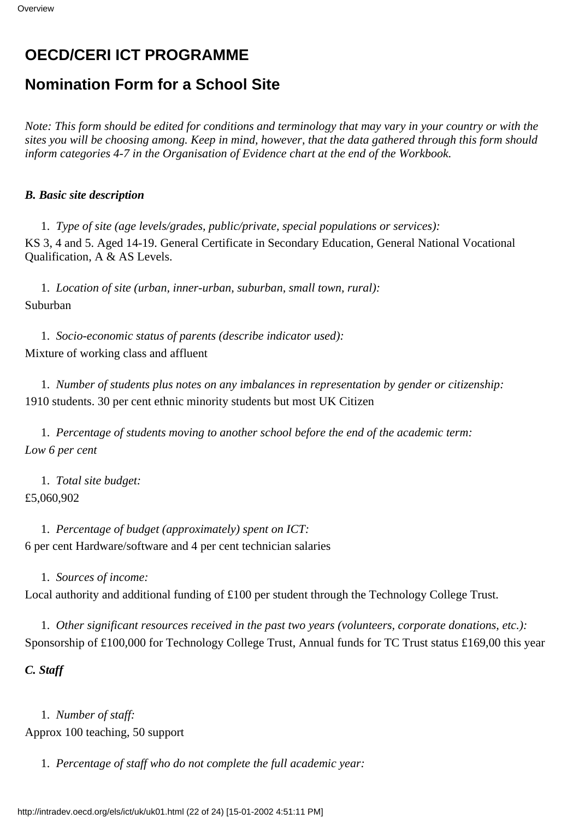### **OECD/CERI ICT PROGRAMME**

### **Nomination Form for a School Site**

*Note: This form should be edited for conditions and terminology that may vary in your country or with the sites you will be choosing among. Keep in mind, however, that the data gathered through this form should inform categories 4-7 in the Organisation of Evidence chart at the end of the Workbook.*

#### *B. Basic site description*

1. *Type of site (age levels/grades, public/private, special populations or services):* KS 3, 4 and 5. Aged 14-19. General Certificate in Secondary Education, General National Vocational Qualification, A & AS Levels.

1. *Location of site (urban, inner-urban, suburban, small town, rural):* Suburban

1. *Socio-economic status of parents (describe indicator used):* Mixture of working class and affluent

1. *Number of students plus notes on any imbalances in representation by gender or citizenship:* 1910 students. 30 per cent ethnic minority students but most UK Citizen

1. *Percentage of students moving to another school before the end of the academic term: Low 6 per cent*

1. *Total site budget:* £5,060,902

1. *Percentage of budget (approximately) spent on ICT:* 6 per cent Hardware/software and 4 per cent technician salaries

1. *Sources of income:*

Local authority and additional funding of £100 per student through the Technology College Trust.

1. *Other significant resources received in the past two years (volunteers, corporate donations, etc.):* Sponsorship of £100,000 for Technology College Trust, Annual funds for TC Trust status £169,00 this year

*C. Staff*

1. *Number of staff:* Approx 100 teaching, 50 support

1. *Percentage of staff who do not complete the full academic year:*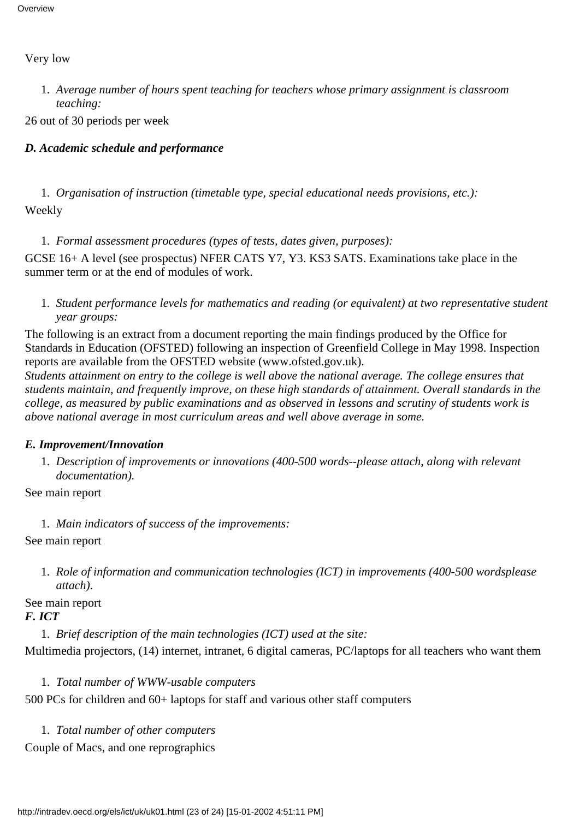#### Very low

*Average number of hours spent teaching for teachers whose primary assignment is classroom* 1. *teaching:*

26 out of 30 periods per week

#### *D. Academic schedule and performance*

1. *Organisation of instruction (timetable type, special educational needs provisions, etc.):* Weekly

1. *Formal assessment procedures (types of tests, dates given, purposes):*

GCSE 16+ A level (see prospectus) NFER CATS Y7, Y3. KS3 SATS. Examinations take place in the summer term or at the end of modules of work.

*Student performance levels for mathematics and reading (or equivalent) at two representative student* 1. *year groups:*

The following is an extract from a document reporting the main findings produced by the Office for Standards in Education (OFSTED) following an inspection of Greenfield College in May 1998. Inspection reports are available from the OFSTED website (www.ofsted.gov.uk).

*Students attainment on entry to the college is well above the national average. The college ensures that students maintain, and frequently improve, on these high standards of attainment. Overall standards in the college, as measured by public examinations and as observed in lessons and scrutiny of students work is above national average in most curriculum areas and well above average in some.*

#### *E. Improvement/Innovation*

*Description of improvements or innovations (400-500 words--please attach, along with relevant* 1. *documentation).*

See main report

1. *Main indicators of success of the improvements:*

See main report

1. Role of information and communication technologies (ICT) in improvements (400-500 words please *attach).*

See main report *F. ICT*

1. *Brief description of the main technologies (ICT) used at the site:*

Multimedia projectors, (14) internet, intranet, 6 digital cameras, PC/laptops for all teachers who want them

1. *Total number of WWW-usable computers*

500 PCs for children and 60+ laptops for staff and various other staff computers

1. *Total number of other computers* Couple of Macs, and one reprographics